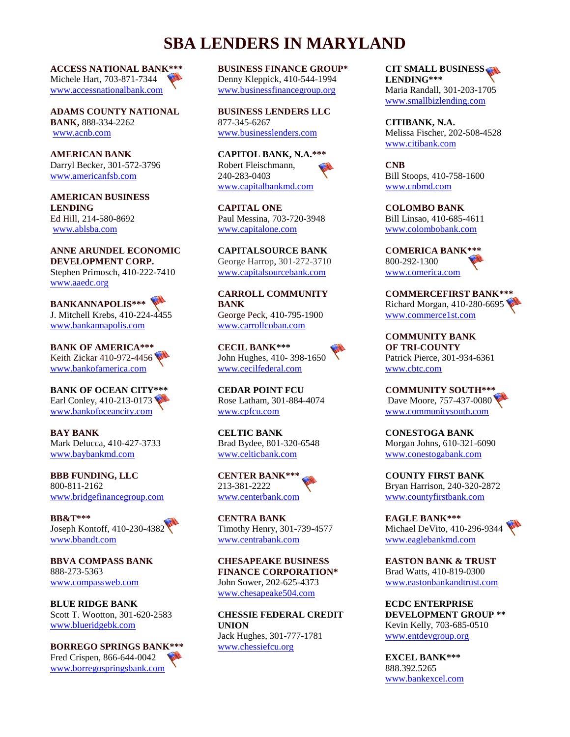## **SBA LENDERS IN MARYLAND**

**ACCESS NATIONAL BANK\*\*\*** Michele Hart, 703-871-7344 [www.accessnationalbank.com](http://www.accessnationalbank.com/)

**ADAMS COUNTY NATIONAL BANK,** 888-334-2262 [www.acnb.com](http://www.acnb.com/)

**AMERICAN BANK** Darryl Becker, 301-572-3796 [www.americanfsb.com](http://www.americanfsb.com/)

**AMERICAN BUSINESS LENDING** Ed Hill, 214-580-8692 [www.ablsba.com](http://www.ablsba.com/)

**ANNE ARUNDEL ECONOMIC DEVELOPMENT CORP.** Stephen Primosch, 410-222-7410 [www.aaedc.org](http://www.aaedc.org/)

**BANKANNAPOLIS\*\*\*** J. Mitchell Krebs, 410-224-4455 [www.bankannapolis.com](http://www.bankannapolis.com/)

**BANK OF AMERICA\*\*\*** Keith Zickar 410-972-4456 [www.bankofamerica.com](http://www.bankofamerica.com/)

**BANK OF OCEAN CITY\*\*\*** Earl Conley, 410-213-0173 [www.bankofoceancity.com](http://www.bankofoceancity.com/)

**BAY BANK** Mark Delucca, 410-427-3733 [www.baybankmd.com](http://www.baybankmd.com/)

**BBB FUNDING, LLC** 800-811-2162 [www.bridgefinancegroup.com](http://www.bridgefinancegroup.com/)

**BB&T\*\*\*** Joseph Kontoff, 410-230-4382 [www.bbandt.com](http://www.bbandt.com/)

**BBVA COMPASS BANK** 888-273-5363 [www.compassweb.com](http://www.compassweb.com/)

**BLUE RIDGE BANK** Scott T. Wootton, 301-620-2583 [www.blueridgebk.com](http://www.blueridgebk.com/)

**BORREGO SPRINGS BANK\*\*\*** Fred Crispen, 866-644-0042 [www.borregospringsbank.com](http://www.borregospringsbank.com/)

**BUSINESS FINANCE GROUP\*** Denny Kleppick, 410-544-1994 [www.businessfinancegroup.org](http://www.businessfinancegroup.org/)

**BUSINESS LENDERS LLC** 877-345-6267 [www.businesslenders.com](http://www.businesslenders.com/)

**CAPITOL BANK, N.A.\*\*\*** Robert Fleischmann, 240-283-0403 [www.capitalbankmd.com](file:///C:/Documents%20and%20Settings/seknox/Local%20Settings/Temporary%20Internet%20Files/Content.Outlook/0651EQYS/www.capitalbankmd.com)

**CAPITAL ONE** Paul Messina, 703-720-3948 [www.capitalone.com](http://www.capitalone.com/)

**CAPITALSOURCE BANK** George Harrop, 301-272-3710 [www.capitalsourcebank.com](http://www.capitalsourcebank.com/)

**CARROLL COMMUNITY BANK** George Peck, 410-795-1900 [www.carrollcoban.com](http://www.carrollcoban.com/)

**CECIL BANK\*\*\*** John Hughes, 410- 398-1650 [www.cecilfederal.com](http://www.cecilfederal.com/)

**CEDAR POINT FCU** Rose Latham, 301-884-4074 [www.cpfcu.com](http://www.cpfcu.com/)

**CELTIC BANK** Brad Bydee, 801-320-6548 [www.celticbank.com](http://www.celticbank.com/)

**CENTER BANK\*\*\*** 213-381-2222 [www.centerbank.com](http://www.centerbank.com/)

**CENTRA BANK** Timothy Henry, 301-739-4577 [www.centrabank.com](http://www.centrabank.com/)

**CHESAPEAKE BUSINESS FINANCE CORPORATION\*** John Sower, 202-625-4373 [www.chesapeake504.com](http://www.chesapeake504.com/)

**CHESSIE FEDERAL CREDIT UNION** Jack Hughes, 301-777-1781 [www.chessiefcu.org](http://www.chessiefcu.org/)

**CIT SMALL BUSINESS LENDING\*\*\*** Maria Randall, 301-203-1705 [www.smallbizlending.com](http://www.smallbizlending.com/)

**CITIBANK, N.A.** Melissa Fischer, 202-508-4528 [www.citibank.com](http://www.citibank.com/)

**CNB** Bill Stoops, 410-758-1600 [www.cnbmd.com](http://www.cnbmd.com/)

**COLOMBO BANK** Bill Linsao, 410-685-4611 [www.colombobank.com](http://www.colombobank.com/)

**COMERICA BANK\*\*\*** 800-292-1300 [www.comerica.com](http://www.comerica.com/)

**COMMERCEFIRST BANK\*\*\*** Richard Morgan, 410-280-6695 [www.commerce1st.com](http://www.commerce1st.com/)

**COMMUNITY BANK OF TRI-COUNTY** Patrick Pierce, 301-934-6361 [www.cbtc.com](http://www.cbtc.com/)

**COMMUNITY SOUTH\*\*\*** Dave Moore, 757-437-0080 [www.communitysouth.com](http://www.communitysouth.com/)

**CONESTOGA BANK** Morgan Johns, 610-321-6090 [www.conestogabank.com](http://www.conestogabank.com/)

**COUNTY FIRST BANK** Bryan Harrison, 240-320-2872 [www.countyfirstbank.com](http://www.countyfirstbank.com/)

**EAGLE BANK\*\*\*** Michael DeVito, 410-296-9344 [www.eaglebankmd.com](http://www.eaglebankmd.com/)

**EASTON BANK & TRUST** Brad Watts, 410-819-0300 [www.eastonbankandtrust.com](http://www.eastonbankandtrust.com/)

**ECDC ENTERPRISE DEVELOPMENT GROUP \*\*** Kevin Kelly, 703-685-0510 [www.entdevgroup.org](http://www.entdevgroup.org/)

**EXCEL BANK\*\*\*** 888.392.5265 [www.bankexcel.com](http://www.bankexcel.com/)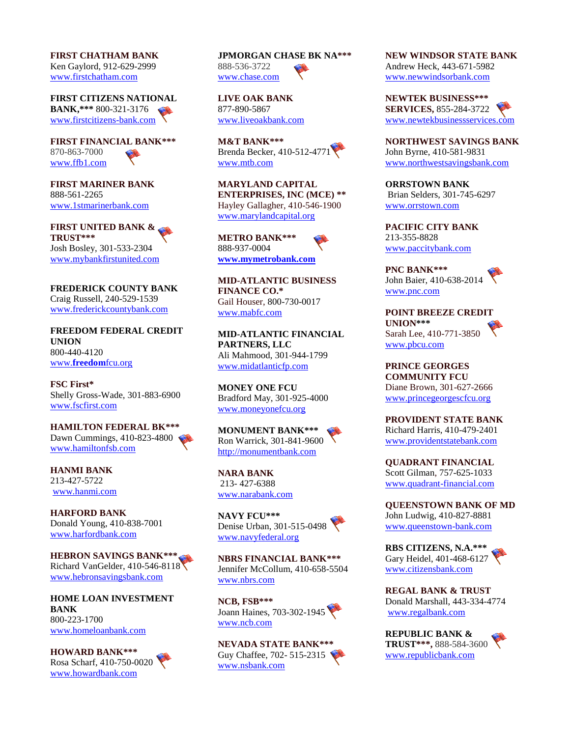**FIRST CHATHAM BANK** Ken Gaylord, 912-629-2999 [www.firstchatham.com](http://www.firstchatham.com/)

**FIRST CITIZENS NATIONAL BANK,\*\*\*** 800-321-3176 [www.firstcitizens-bank.com](https://www.firstcitizens-bank.com/?tabid=4408)

**FIRST FINANCIAL BANK\*\*\*** 870-863-7000 [www.ffb1.com](http://www.ffb1.com/)

**FIRST MARINER BANK** 888-561-2265 [www.1stmarinerbank.com](http://www.1stmarinerbank.com/)

**FIRST UNITED BANK & TRUST\*\*\*** Josh Bosley, 301-533-2304 [www.mybankfirstunited.com](http://www.mybankfirstunited.com/)

**FREDERICK COUNTY BANK** Craig Russell, 240-529-1539 [www.frederickcountybank.com](file:///C:/Documents%20and%20Settings/seknox/Local%20Settings/Temporary%20Internet%20Files/Content.Outlook/Misc/www.frederickcountybank.com)

**FREEDOM FEDERAL CREDIT UNION** 800-440-4120 www.**[freedom](file:///C:/Documents%20and%20Settings/seknox/Local%20Settings/Temporary%20Internet%20Files/Content.Outlook/Misc/www.freedomfcu.org)**fcu.org

**FSC First\*** Shelly Gross-Wade, 301-883-6900 [www.fscfirst.com](http://www.fscfirst.com/)

## **HAMILTON FEDERAL BK\*\*\*** Dawn Cummings, 410-823-4800 [www.hamiltonfsb.com](http://www.hamiltonfsb.com/)

**HANMI BANK** 213-427-5722 [www.hanmi.com](http://www.hanmi.com/)

**HARFORD BANK** Donald Young, 410-838-7001 [www.harfordbank.com](http://www.harfordbank.com/)

**HEBRON SAVINGS BANK\*\*\*** Richard VanGelder, 410-546-8118 [www.hebronsavingsbank.com](http://www.hebronsavingsbank.com/)

**HOME LOAN INVESTMENT BANK** 800-223-1700 [www.homeloanbank.com](http://www.homeloanbank.com/)

**HOWARD BANK\*\*\*** Rosa Scharf, 410-750-0020 [www.howardbank.com](http://www.howardbank.com/)

**JPMORGAN CHASE BK NA\*\*\*** 888-536-3722 [www.chase.com](http://www.chase.com/)

**LIVE OAK BANK** 877-890-5867 [www.liveoakbank.com](http://www.liveoakbank.com/)

**M&T BANK\*\*\*** Brenda Becker, 410-512-4771 [www.mtb.com](http://www.mtb.com/)

**MARYLAND CAPITAL ENTERPRISES, INC (MCE) \*\*** Hayley Gallagher, 410-546-1900 [www.marylandcapital.org](http://www.marylandcapital.org/)

**METRO BANK\*\*\*** 888-937-0004 **[www.mymetrobank.com](http://www.mymetrobank.com/)**

**MID-ATLANTIC BUSINESS FINANCE CO.\*** Gail Houser, 800-730-0017 [www.mabfc.com](http://www.mabfc.com/)

**MID-ATLANTIC FINANCIAL PARTNERS, LLC** Ali Mahmood, 301-944-1799 [www.midatlanticfp.com](http://www.midatlanticfp.com/)

**MONEY ONE FCU** Bradford May, 301-925-4000 [www.moneyonefcu.org](http://www.moneyonefcu.org/)

**MONUMENT BANK\*\*\*** Ron Warrick, 301-841-9600 [http://monumentbank.com](http://monumentbank.com/)

**NARA BANK** 213- 427-6388 [www.narabank.com](http://www.narabank.com/)

**NAVY FCU\*\*\*** Denise Urban, 301-515-0498 [www.navyfederal.org](http://www.navyfederal.org/)

**NBRS FINANCIAL BANK\*\*\*** Jennifer McCollum, 410-658-5504 [www.nbrs.com](http://www.nbrs.com/)

**NCB, FSB\*\*\*** Joann Haines, 703-302-1945 [www.ncb.com](http://www.ncb.com/)

**NEVADA STATE BANK\*\*\*** Guy Chaffee, 702- 515-2315 [www.nsbank.com](http://www.nsbank.com/)

**NEW WINDSOR STATE BANK** Andrew Heck, 443-671-5982 [www.newwindsorbank.com](http://www.newwindsorbank.com/)

**NEWTEK BUSINESS\*\*\* SERVICES,** 855-284-3722 [www.newtekbusinessservices.com](http://www.newtekbusinessservices.com/)

**NORTHWEST SAVINGS BANK** John Byrne, 410-581-9831 [www.northwestsavingsbank.com](http://www.northwestsavingsbank.com/)

**ORRSTOWN BANK** Brian Selders, 301-745-6297 [www.orrstown.com](file:///C:/Documents%20and%20Settings/seknox/Local%20Settings/Temporary%20Internet%20Files/Content.Outlook/0651EQYS/www.orrstown.com)

**PACIFIC CITY BANK** 213-355-8828 [www.paccitybank.com](http://www.paccitybank.com/)

**PNC BANK\*\*\*** John Baier, 410-638-2014 [www.pnc.com](http://www.pnc.com/)

**POINT BREEZE CREDIT UNION\*\*\*** Sarah Lee, 410-771-3850 [www.pbcu.com](file:///C:/Documents%20and%20Settings/seknox/Local%20Settings/Temporary%20Internet%20Files/Content.Outlook/0651EQYS/www.pbcu.com)

**PRINCE GEORGES COMMUNITY FCU** Diane Brown, 301-627-2666 [www.princegeorgescfcu.org](http://www.princegeorgescfcu.org/)

**PROVIDENT STATE BANK** Richard Harris, 410-479-2401 [www.providentstatebank.com](http://www.providentstatebank.com/)

**QUADRANT FINANCIAL** Scott Gilman, 757-625-1033 [www.quadrant-financial.com](http://www.quadrant-financial.com/)

**QUEENSTOWN BANK OF MD** John Ludwig, 410-827-8881 [www.queenstown-bank.com](http://www.queenstown-bank.com/)

**RBS CITIZENS, N.A.\*\*\*** Gary Heidel, 401-468-6127 [www.citizensbank.com](http://www.citizensbank.com/)

**REGAL BANK & TRUST** Donald Marshall, 443-334-4774 [www.regalbank.com](http://www.regalbank.com/)

**REPUBLIC BANK & TRUST\*\*\*,** 888-584-3600 [www.republicbank.com](http://www.republicbank.com/)